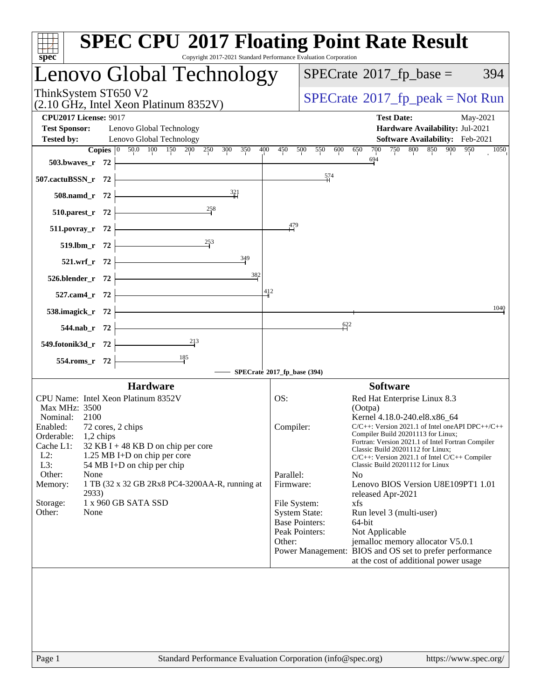| $spec^*$                                                                                                                                                                                                                                                                                                                                                                                                                                      | <b>SPEC CPU®2017 Floating Point Rate Result</b><br>Copyright 2017-2021 Standard Performance Evaluation Corporation |
|-----------------------------------------------------------------------------------------------------------------------------------------------------------------------------------------------------------------------------------------------------------------------------------------------------------------------------------------------------------------------------------------------------------------------------------------------|--------------------------------------------------------------------------------------------------------------------|
| Lenovo Global Technology                                                                                                                                                                                                                                                                                                                                                                                                                      | $SPECrate^{\circ}2017$ _fp_base =<br>394                                                                           |
| ThinkSystem ST650 V2<br>(2.10 GHz, Intel Xeon Platinum 8352V)                                                                                                                                                                                                                                                                                                                                                                                 | $SPECrate^{\circ}2017$ [p_peak = Not Run                                                                           |
| <b>CPU2017 License: 9017</b><br><b>Test Sponsor:</b><br>Lenovo Global Technology                                                                                                                                                                                                                                                                                                                                                              | <b>Test Date:</b><br>May-2021<br>Hardware Availability: Jul-2021                                                   |
| Lenovo Global Technology<br><b>Tested by:</b>                                                                                                                                                                                                                                                                                                                                                                                                 | Software Availability: Feb-2021                                                                                    |
| <b>Copies</b> $\begin{bmatrix} 0 & 50.0 & 100 & 150 & 200 & 250 & 300 & 350 \end{bmatrix}$<br>400                                                                                                                                                                                                                                                                                                                                             | 800 850 900<br>450<br>700<br>750<br>950<br>500<br>550<br>600 650<br>1050                                           |
| $503.bwaves_r 72$                                                                                                                                                                                                                                                                                                                                                                                                                             | 694                                                                                                                |
| 507.cactuBSSN_r $72$                                                                                                                                                                                                                                                                                                                                                                                                                          | $\frac{574}{1}$                                                                                                    |
| 508.namd_r 72 $\frac{321}{41}$                                                                                                                                                                                                                                                                                                                                                                                                                |                                                                                                                    |
| 510.parest_r 72 $\overline{\qquad}$ $\overline{\qquad}$ $\overline{\qquad}$ $\overline{\qquad}$ $\overline{\qquad}$ $\overline{\qquad}$ $\overline{\qquad}$ $\overline{\qquad}$ $\overline{\qquad}$ $\overline{\qquad}$ $\overline{\qquad}$ $\overline{\qquad}$ $\overline{\qquad}$ $\overline{\qquad}$ $\overline{\qquad}$ $\overline{\qquad}$ $\overline{\qquad}$ $\overline{\qquad}$ $\overline{\qquad}$ $\overline{\qquad}$ $\overline{\$ |                                                                                                                    |
| $511.povray_r$ 72                                                                                                                                                                                                                                                                                                                                                                                                                             | 479                                                                                                                |
| 519.1bm_r 72 $\overline{ )}$ 253                                                                                                                                                                                                                                                                                                                                                                                                              |                                                                                                                    |
| 521.wrf_r 72 $\frac{349}{ }$                                                                                                                                                                                                                                                                                                                                                                                                                  |                                                                                                                    |
| 382<br>$526.blender_r 72$                                                                                                                                                                                                                                                                                                                                                                                                                     |                                                                                                                    |
| $527.cam4_r$ $72$ $\overline{\phantom{a}}$                                                                                                                                                                                                                                                                                                                                                                                                    | 412                                                                                                                |
| 538.imagick_r $72$ $\overline{\phantom{1}}$                                                                                                                                                                                                                                                                                                                                                                                                   | 1040                                                                                                               |
| $544.\text{nab}_r$ 72                                                                                                                                                                                                                                                                                                                                                                                                                         | $\frac{622}{1}$                                                                                                    |
| 549.fotonik3d_r 72 $\frac{213}{1}$                                                                                                                                                                                                                                                                                                                                                                                                            |                                                                                                                    |
| 554.roms_r 72 $\overline{\qquad \qquad }$ 185                                                                                                                                                                                                                                                                                                                                                                                                 |                                                                                                                    |
|                                                                                                                                                                                                                                                                                                                                                                                                                                               | SPECrate®2017_fp_base (394)                                                                                        |
| <b>Hardware</b>                                                                                                                                                                                                                                                                                                                                                                                                                               | <b>Software</b>                                                                                                    |
| CPU Name: Intel Xeon Platinum 8352V                                                                                                                                                                                                                                                                                                                                                                                                           | OS:<br>Red Hat Enterprise Linux 8.3                                                                                |
| Max MHz: 3500<br>Nominal: 2100                                                                                                                                                                                                                                                                                                                                                                                                                | (Ootpa)<br>Kernel 4.18.0-240.el8.x86_64                                                                            |
| 72 cores, 2 chips<br>Enabled:                                                                                                                                                                                                                                                                                                                                                                                                                 | C/C++: Version 2021.1 of Intel oneAPI DPC++/C++<br>Compiler:                                                       |
| Orderable:<br>1,2 chips                                                                                                                                                                                                                                                                                                                                                                                                                       | Compiler Build 20201113 for Linux;<br>Fortran: Version 2021.1 of Intel Fortran Compiler                            |
| Cache L1:<br>$32$ KB I + 48 KB D on chip per core<br>$L2$ :<br>1.25 MB I+D on chip per core                                                                                                                                                                                                                                                                                                                                                   | Classic Build 20201112 for Linux;<br>$C/C++$ : Version 2021.1 of Intel $C/C++$ Compiler                            |
| L3:<br>54 MB I+D on chip per chip                                                                                                                                                                                                                                                                                                                                                                                                             | Classic Build 20201112 for Linux                                                                                   |
| Other:<br>None<br>Memory:<br>1 TB (32 x 32 GB 2Rx8 PC4-3200AA-R, running at                                                                                                                                                                                                                                                                                                                                                                   | Parallel:<br>N <sub>0</sub><br>Firmware:<br>Lenovo BIOS Version U8E109PT1 1.01                                     |
| 2933)                                                                                                                                                                                                                                                                                                                                                                                                                                         | released Apr-2021                                                                                                  |
| 1 x 960 GB SATA SSD<br>Storage:                                                                                                                                                                                                                                                                                                                                                                                                               | File System:<br>xfs                                                                                                |
| Other:<br>None                                                                                                                                                                                                                                                                                                                                                                                                                                | <b>System State:</b><br>Run level 3 (multi-user)<br><b>Base Pointers:</b><br>64-bit                                |
|                                                                                                                                                                                                                                                                                                                                                                                                                                               | Peak Pointers:<br>Not Applicable                                                                                   |
|                                                                                                                                                                                                                                                                                                                                                                                                                                               | Other:<br>jemalloc memory allocator V5.0.1                                                                         |
|                                                                                                                                                                                                                                                                                                                                                                                                                                               | Power Management: BIOS and OS set to prefer performance<br>at the cost of additional power usage                   |
|                                                                                                                                                                                                                                                                                                                                                                                                                                               |                                                                                                                    |
| $D_{0}$ $\alpha$ $\alpha$ 1                                                                                                                                                                                                                                                                                                                                                                                                                   | Standard Darformange Evaluation Corporation (info@gnee.org)<br>http://www.0000                                     |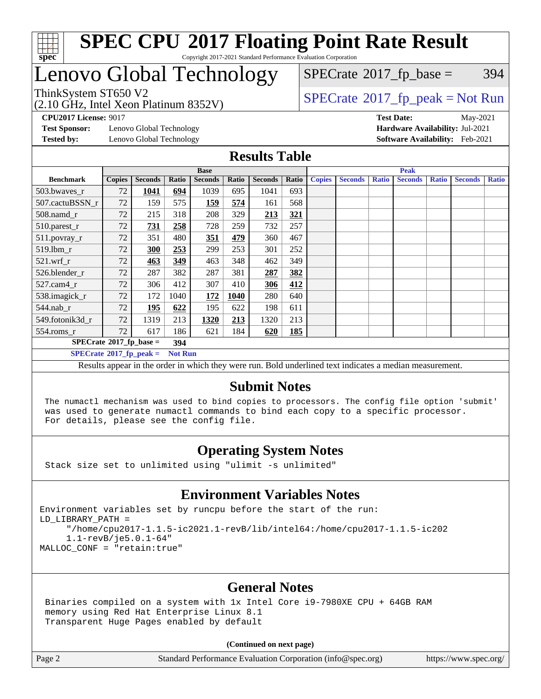

## Lenovo Global Technology

(2.10 GHz, Intel Xeon Platinum 8352V)

 $SPECTate$ <sup>®</sup>[2017\\_fp\\_base =](http://www.spec.org/auto/cpu2017/Docs/result-fields.html#SPECrate2017fpbase) 394

### ThinkSystem ST650 V2<br>(2.10 GHz, Intel Year Platinum 8352V)

**[CPU2017 License:](http://www.spec.org/auto/cpu2017/Docs/result-fields.html#CPU2017License)** 9017 **[Test Date:](http://www.spec.org/auto/cpu2017/Docs/result-fields.html#TestDate)** May-2021

**[Test Sponsor:](http://www.spec.org/auto/cpu2017/Docs/result-fields.html#TestSponsor)** Lenovo Global Technology **[Hardware Availability:](http://www.spec.org/auto/cpu2017/Docs/result-fields.html#HardwareAvailability)** Jul-2021 **[Tested by:](http://www.spec.org/auto/cpu2017/Docs/result-fields.html#Testedby)** Lenovo Global Technology **[Software Availability:](http://www.spec.org/auto/cpu2017/Docs/result-fields.html#SoftwareAvailability)** Feb-2021

### **[Results Table](http://www.spec.org/auto/cpu2017/Docs/result-fields.html#ResultsTable)**

|                                         | <b>Base</b>    |                |       |                |       | <b>Peak</b>    |            |               |                |              |                |              |                |              |
|-----------------------------------------|----------------|----------------|-------|----------------|-------|----------------|------------|---------------|----------------|--------------|----------------|--------------|----------------|--------------|
| <b>Benchmark</b>                        | <b>Copies</b>  | <b>Seconds</b> | Ratio | <b>Seconds</b> | Ratio | <b>Seconds</b> | Ratio      | <b>Copies</b> | <b>Seconds</b> | <b>Ratio</b> | <b>Seconds</b> | <b>Ratio</b> | <b>Seconds</b> | <b>Ratio</b> |
| 503.bwaves_r                            | 72             | 1041           | 694   | 1039           | 695   | 1041           | 693        |               |                |              |                |              |                |              |
| 507.cactuBSSN r                         | 72             | 159            | 575   | 159            | 574   | 161            | 568        |               |                |              |                |              |                |              |
| $508$ .namd $r$                         | 72             | 215            | 318   | 208            | 329   | 213            | 321        |               |                |              |                |              |                |              |
| 510.parest_r                            | 72             | 731            | 258   | 728            | 259   | 732            | 257        |               |                |              |                |              |                |              |
| 511.povray_r                            | 72             | 351            | 480   | 351            | 479   | 360            | 467        |               |                |              |                |              |                |              |
| 519.lbm r                               | 72             | 300            | 253   | 299            | 253   | 301            | 252        |               |                |              |                |              |                |              |
| $521$ .wrf r                            | 72             | 463            | 349   | 463            | 348   | 462            | 349        |               |                |              |                |              |                |              |
| 526.blender r                           | 72             | 287            | 382   | 287            | 381   | 287            | 382        |               |                |              |                |              |                |              |
| $527$ .cam $4r$                         | 72             | 306            | 412   | 307            | 410   | 306            | 412        |               |                |              |                |              |                |              |
| 538.imagick_r                           | 72             | 172            | 1040  | 172            | 1040  | 280            | 640        |               |                |              |                |              |                |              |
| 544.nab r                               | 72             | 195            | 622   | 195            | 622   | 198            | 611        |               |                |              |                |              |                |              |
| 549.fotonik3d r                         | 72             | 1319           | 213   | 1320           | 213   | 1320           | 213        |               |                |              |                |              |                |              |
| $554$ .roms_r                           | 72             | 617            | 186   | 621            | 184   | 620            | <b>185</b> |               |                |              |                |              |                |              |
| $SPECrate^{\circ}2017$ fp base =<br>394 |                |                |       |                |       |                |            |               |                |              |                |              |                |              |
| $SPECrate^{\circ}2017$ fp peak =        | <b>Not Run</b> |                |       |                |       |                |            |               |                |              |                |              |                |              |

Results appear in the [order in which they were run](http://www.spec.org/auto/cpu2017/Docs/result-fields.html#RunOrder). Bold underlined text [indicates a median measurement.](http://www.spec.org/auto/cpu2017/Docs/result-fields.html#Median)

### **[Submit Notes](http://www.spec.org/auto/cpu2017/Docs/result-fields.html#SubmitNotes)**

 The numactl mechanism was used to bind copies to processors. The config file option 'submit' was used to generate numactl commands to bind each copy to a specific processor. For details, please see the config file.

### **[Operating System Notes](http://www.spec.org/auto/cpu2017/Docs/result-fields.html#OperatingSystemNotes)**

Stack size set to unlimited using "ulimit -s unlimited"

### **[Environment Variables Notes](http://www.spec.org/auto/cpu2017/Docs/result-fields.html#EnvironmentVariablesNotes)**

Environment variables set by runcpu before the start of the run: LD\_LIBRARY\_PATH = "/home/cpu2017-1.1.5-ic2021.1-revB/lib/intel64:/home/cpu2017-1.1.5-ic202 1.1-revB/je5.0.1-64" MALLOC\_CONF = "retain:true"

### **[General Notes](http://www.spec.org/auto/cpu2017/Docs/result-fields.html#GeneralNotes)**

 Binaries compiled on a system with 1x Intel Core i9-7980XE CPU + 64GB RAM memory using Red Hat Enterprise Linux 8.1 Transparent Huge Pages enabled by default

#### **(Continued on next page)**

Page 2 Standard Performance Evaluation Corporation [\(info@spec.org\)](mailto:info@spec.org) <https://www.spec.org/>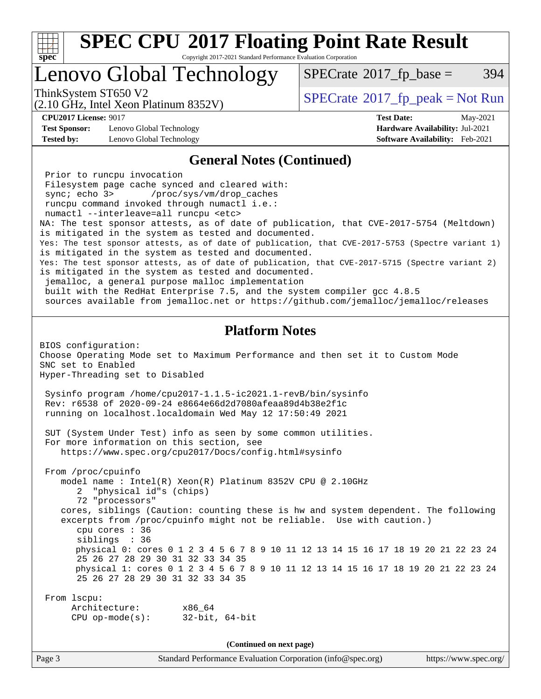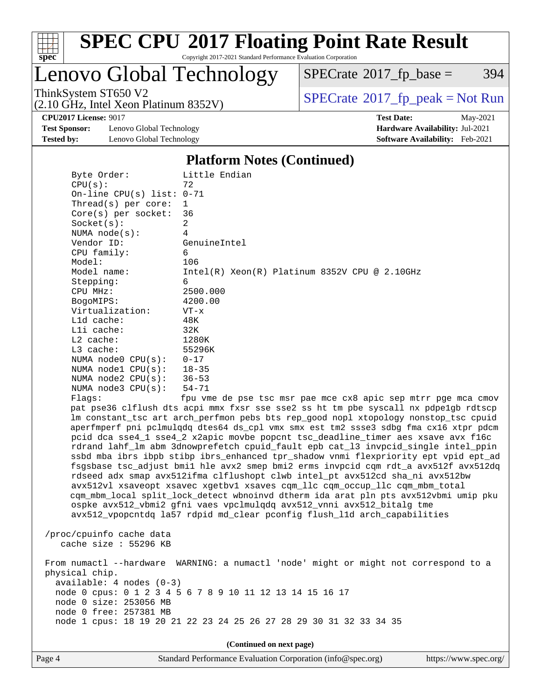

Copyright 2017-2021 Standard Performance Evaluation Corporation

Lenovo Global Technology

 $SPECTate@2017_fp\_base = 394$ 

(2.10 GHz, Intel Xeon Platinum 8352V)

ThinkSystem ST650 V2<br>(2.10 GHz, Intel Yeon Platinum 8352V) [SPECrate](http://www.spec.org/auto/cpu2017/Docs/result-fields.html#SPECrate2017fppeak)®[2017\\_fp\\_peak = N](http://www.spec.org/auto/cpu2017/Docs/result-fields.html#SPECrate2017fppeak)ot Run

**[Test Sponsor:](http://www.spec.org/auto/cpu2017/Docs/result-fields.html#TestSponsor)** Lenovo Global Technology **[Hardware Availability:](http://www.spec.org/auto/cpu2017/Docs/result-fields.html#HardwareAvailability)** Jul-2021 **[Tested by:](http://www.spec.org/auto/cpu2017/Docs/result-fields.html#Testedby)** Lenovo Global Technology **[Software Availability:](http://www.spec.org/auto/cpu2017/Docs/result-fields.html#SoftwareAvailability)** Feb-2021

**[CPU2017 License:](http://www.spec.org/auto/cpu2017/Docs/result-fields.html#CPU2017License)** 9017 **[Test Date:](http://www.spec.org/auto/cpu2017/Docs/result-fields.html#TestDate)** May-2021

### **[Platform Notes \(Continued\)](http://www.spec.org/auto/cpu2017/Docs/result-fields.html#PlatformNotes)**

| Byte Order:                                                                          | Little Endian                                                                        |  |  |  |  |  |  |
|--------------------------------------------------------------------------------------|--------------------------------------------------------------------------------------|--|--|--|--|--|--|
| CPU(s):                                                                              | 72                                                                                   |  |  |  |  |  |  |
| On-line CPU(s) list: $0-71$                                                          |                                                                                      |  |  |  |  |  |  |
| Thread(s) per core:                                                                  | 1                                                                                    |  |  |  |  |  |  |
| $Core(s)$ per socket:                                                                | 36                                                                                   |  |  |  |  |  |  |
| Socket(s):                                                                           | 2                                                                                    |  |  |  |  |  |  |
| NUMA $node(s):$                                                                      | 4                                                                                    |  |  |  |  |  |  |
| Vendor ID:                                                                           | GenuineIntel                                                                         |  |  |  |  |  |  |
| CPU family:                                                                          | 6                                                                                    |  |  |  |  |  |  |
| Model:                                                                               | 106                                                                                  |  |  |  |  |  |  |
| Model name:                                                                          | $Intel(R) Xeon(R) Platinum 8352V CPU @ 2.10GHz$                                      |  |  |  |  |  |  |
| Stepping:                                                                            | 6                                                                                    |  |  |  |  |  |  |
| CPU MHz:                                                                             | 2500.000                                                                             |  |  |  |  |  |  |
| BogoMIPS:                                                                            | 4200.00                                                                              |  |  |  |  |  |  |
| Virtualization:                                                                      | $VT - x$                                                                             |  |  |  |  |  |  |
| L1d cache:                                                                           | 48K                                                                                  |  |  |  |  |  |  |
| Lli cache:                                                                           | 32K                                                                                  |  |  |  |  |  |  |
| $L2$ cache:                                                                          | 1280K                                                                                |  |  |  |  |  |  |
| $L3$ cache:                                                                          | 55296K                                                                               |  |  |  |  |  |  |
| NUMA $node0$ $CPU(s)$ :                                                              | $0 - 17$                                                                             |  |  |  |  |  |  |
| NUMA nodel CPU(s):                                                                   | $18 - 35$                                                                            |  |  |  |  |  |  |
| NUMA $node2$ $CPU(s):$                                                               | $36 - 53$                                                                            |  |  |  |  |  |  |
| NUMA $node3$ $CPU(s)$ :                                                              | $54 - 71$                                                                            |  |  |  |  |  |  |
| Flaqs:                                                                               | fpu vme de pse tsc msr pae mce cx8 apic sep mtrr pge mca cmov                        |  |  |  |  |  |  |
|                                                                                      | pat pse36 clflush dts acpi mmx fxsr sse sse2 ss ht tm pbe syscall nx pdpelgb rdtscp  |  |  |  |  |  |  |
| lm constant_tsc art arch_perfmon pebs bts rep_good nopl xtopology nonstop_tsc cpuid  |                                                                                      |  |  |  |  |  |  |
|                                                                                      | aperfmperf pni pclmulqdq dtes64 ds_cpl vmx smx est tm2 ssse3 sdbg fma cx16 xtpr pdcm |  |  |  |  |  |  |
|                                                                                      | pcid dca sse4_1 sse4_2 x2apic movbe popcnt tsc_deadline_timer aes xsave avx f16c     |  |  |  |  |  |  |
|                                                                                      | rdrand lahf_lm abm 3dnowprefetch cpuid_fault epb cat_13 invpcid_single intel_ppin    |  |  |  |  |  |  |
|                                                                                      | ssbd mba ibrs ibpb stibp ibrs_enhanced tpr_shadow vnmi flexpriority ept vpid ept_ad  |  |  |  |  |  |  |
|                                                                                      | fsgsbase tsc_adjust bmil hle avx2 smep bmi2 erms invpcid cqm rdt_a avx512f avx512dq  |  |  |  |  |  |  |
|                                                                                      | rdseed adx smap avx512ifma clflushopt clwb intel_pt avx512cd sha_ni avx512bw         |  |  |  |  |  |  |
|                                                                                      | avx512vl xsaveopt xsavec xgetbvl xsaves cqm_llc cqm_occup_llc cqm_mbm_total          |  |  |  |  |  |  |
|                                                                                      | cqm_mbm_local split_lock_detect wbnoinvd dtherm ida arat pln pts avx512vbmi umip pku |  |  |  |  |  |  |
|                                                                                      | ospke avx512_vbmi2 gfni vaes vpclmulqdq avx512_vnni avx512_bitalg tme                |  |  |  |  |  |  |
|                                                                                      | avx512_vpopcntdq la57 rdpid md_clear pconfig flush_11d arch_capabilities             |  |  |  |  |  |  |
|                                                                                      |                                                                                      |  |  |  |  |  |  |
| /proc/cpuinfo cache data                                                             |                                                                                      |  |  |  |  |  |  |
| cache size $: 55296$ KB                                                              |                                                                                      |  |  |  |  |  |  |
|                                                                                      |                                                                                      |  |  |  |  |  |  |
| From numactl --hardware WARNING: a numactl 'node' might or might not correspond to a |                                                                                      |  |  |  |  |  |  |
| physical chip.                                                                       |                                                                                      |  |  |  |  |  |  |
| $available: 4 nodes (0-3)$                                                           |                                                                                      |  |  |  |  |  |  |
|                                                                                      | node 0 cpus: 0 1 2 3 4 5 6 7 8 9 10 11 12 13 14 15 16 17                             |  |  |  |  |  |  |
| node 0 size: 253056 MB                                                               |                                                                                      |  |  |  |  |  |  |
| node 0 free: 257381 MB                                                               |                                                                                      |  |  |  |  |  |  |
|                                                                                      | node 1 cpus: 18 19 20 21 22 23 24 25 26 27 28 29 30 31 32 33 34 35                   |  |  |  |  |  |  |
|                                                                                      |                                                                                      |  |  |  |  |  |  |
|                                                                                      |                                                                                      |  |  |  |  |  |  |
| (Continued on next page)                                                             |                                                                                      |  |  |  |  |  |  |

Page 4 Standard Performance Evaluation Corporation [\(info@spec.org\)](mailto:info@spec.org) <https://www.spec.org/>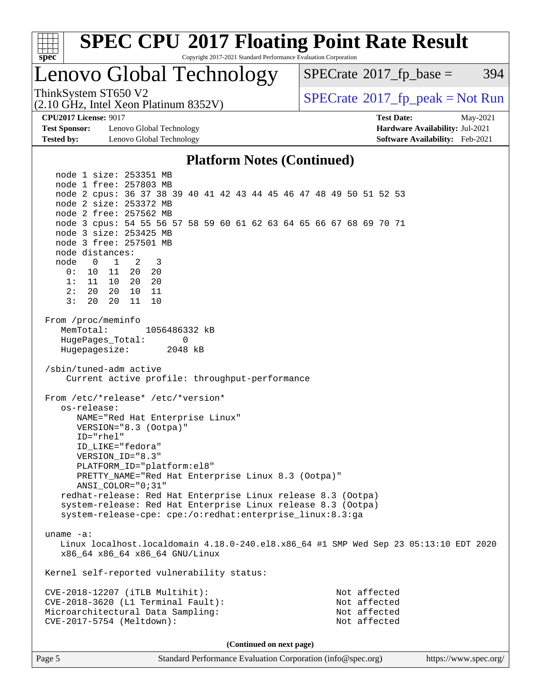

## Lenovo Global Technology

 $SPECTate$ <sup>®</sup>[2017\\_fp\\_base =](http://www.spec.org/auto/cpu2017/Docs/result-fields.html#SPECrate2017fpbase) 394

(2.10 GHz, Intel Xeon Platinum 8352V)

ThinkSystem ST650 V2<br>(2.10 GHz, Intel Xeon Platinum 8352V)  $\vert$  [SPECrate](http://www.spec.org/auto/cpu2017/Docs/result-fields.html#SPECrate2017fppeak)®[2017\\_fp\\_peak = N](http://www.spec.org/auto/cpu2017/Docs/result-fields.html#SPECrate2017fppeak)ot Run

**[Test Sponsor:](http://www.spec.org/auto/cpu2017/Docs/result-fields.html#TestSponsor)** Lenovo Global Technology **[Hardware Availability:](http://www.spec.org/auto/cpu2017/Docs/result-fields.html#HardwareAvailability)** Jul-2021 **[Tested by:](http://www.spec.org/auto/cpu2017/Docs/result-fields.html#Testedby)** Lenovo Global Technology **[Software Availability:](http://www.spec.org/auto/cpu2017/Docs/result-fields.html#SoftwareAvailability)** Feb-2021

**[CPU2017 License:](http://www.spec.org/auto/cpu2017/Docs/result-fields.html#CPU2017License)** 9017 **[Test Date:](http://www.spec.org/auto/cpu2017/Docs/result-fields.html#TestDate)** May-2021

### **[Platform Notes \(Continued\)](http://www.spec.org/auto/cpu2017/Docs/result-fields.html#PlatformNotes)**

Page 5 Standard Performance Evaluation Corporation [\(info@spec.org\)](mailto:info@spec.org) <https://www.spec.org/> node 1 size: 253351 MB node 1 free: 257803 MB node 2 cpus: 36 37 38 39 40 41 42 43 44 45 46 47 48 49 50 51 52 53 node 2 size: 253372 MB node 2 free: 257562 MB node 3 cpus: 54 55 56 57 58 59 60 61 62 63 64 65 66 67 68 69 70 71 node 3 size: 253425 MB node 3 free: 257501 MB node distances: node 0 1 2 3 0: 10 11 20 20 1: 11 10 20 20 2: 20 20 10 11 3: 20 20 11 10 From /proc/meminfo MemTotal: 1056486332 kB HugePages\_Total: 0 Hugepagesize: 2048 kB /sbin/tuned-adm active Current active profile: throughput-performance From /etc/\*release\* /etc/\*version\* os-release: NAME="Red Hat Enterprise Linux" VERSION="8.3 (Ootpa)" ID="rhel" ID\_LIKE="fedora" VERSION\_ID="8.3" PLATFORM\_ID="platform:el8" PRETTY\_NAME="Red Hat Enterprise Linux 8.3 (Ootpa)" ANSI\_COLOR="0;31" redhat-release: Red Hat Enterprise Linux release 8.3 (Ootpa) system-release: Red Hat Enterprise Linux release 8.3 (Ootpa) system-release-cpe: cpe:/o:redhat:enterprise\_linux:8.3:ga uname -a: Linux localhost.localdomain 4.18.0-240.el8.x86\_64 #1 SMP Wed Sep 23 05:13:10 EDT 2020 x86\_64 x86\_64 x86\_64 GNU/Linux Kernel self-reported vulnerability status: CVE-2018-12207 (iTLB Multihit): Not affected CVE-2018-3620 (L1 Terminal Fault): Not affected Microarchitectural Data Sampling: Not affected CVE-2017-5754 (Meltdown): Not affected **(Continued on next page)**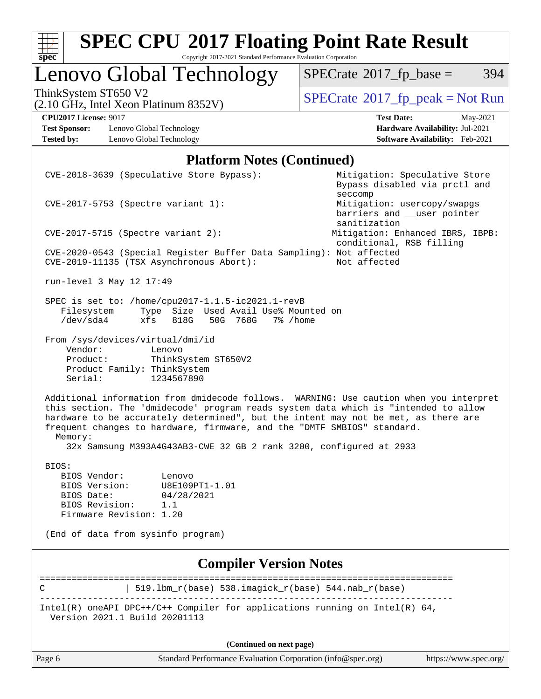| s<br>æ<br>п<br>I<br>Ľ<br>c |  |  |  |  |  |  |
|----------------------------|--|--|--|--|--|--|

Copyright 2017-2021 Standard Performance Evaluation Corporation

## Lenovo Global Technology

 $SPECTate$ <sup>®</sup>[2017\\_fp\\_base =](http://www.spec.org/auto/cpu2017/Docs/result-fields.html#SPECrate2017fpbase) 394

(2.10 GHz, Intel Xeon Platinum 8352V)

ThinkSystem ST650 V2<br>
(2.10 GHz, Intel Xeon Platinum 8352V) [SPECrate](http://www.spec.org/auto/cpu2017/Docs/result-fields.html#SPECrate2017fppeak)®[2017\\_fp\\_peak = N](http://www.spec.org/auto/cpu2017/Docs/result-fields.html#SPECrate2017fppeak)ot Run

**[Test Sponsor:](http://www.spec.org/auto/cpu2017/Docs/result-fields.html#TestSponsor)** Lenovo Global Technology **[Hardware Availability:](http://www.spec.org/auto/cpu2017/Docs/result-fields.html#HardwareAvailability)** Jul-2021 **[Tested by:](http://www.spec.org/auto/cpu2017/Docs/result-fields.html#Testedby)** Lenovo Global Technology **[Software Availability:](http://www.spec.org/auto/cpu2017/Docs/result-fields.html#SoftwareAvailability)** Feb-2021

**[CPU2017 License:](http://www.spec.org/auto/cpu2017/Docs/result-fields.html#CPU2017License)** 9017 **[Test Date:](http://www.spec.org/auto/cpu2017/Docs/result-fields.html#TestDate)** May-2021

#### **[Platform Notes \(Continued\)](http://www.spec.org/auto/cpu2017/Docs/result-fields.html#PlatformNotes)**

|                                                                                                   | CVE-2018-3639 (Speculative Store Bypass):                                                                                                                                                                                                                                                                                                                                                                            |                                                                       | Mitigation: Speculative Store<br>Bypass disabled via prctl and |
|---------------------------------------------------------------------------------------------------|----------------------------------------------------------------------------------------------------------------------------------------------------------------------------------------------------------------------------------------------------------------------------------------------------------------------------------------------------------------------------------------------------------------------|-----------------------------------------------------------------------|----------------------------------------------------------------|
| CVE-2017-5753 (Spectre variant 1):                                                                |                                                                                                                                                                                                                                                                                                                                                                                                                      | seccomp<br>Mitigation: usercopy/swapgs<br>barriers and __user pointer |                                                                |
| $CVE-2017-5715$ (Spectre variant 2):                                                              |                                                                                                                                                                                                                                                                                                                                                                                                                      | sanitization<br>conditional, RSB filling                              | Mitigation: Enhanced IBRS, IBPB:                               |
|                                                                                                   | CVE-2020-0543 (Special Register Buffer Data Sampling): Not affected<br>CVE-2019-11135 (TSX Asynchronous Abort):                                                                                                                                                                                                                                                                                                      | Not affected                                                          |                                                                |
| run-level 3 May 12 17:49                                                                          |                                                                                                                                                                                                                                                                                                                                                                                                                      |                                                                       |                                                                |
| Filesystem<br>/dev/sda4                                                                           | SPEC is set to: /home/cpu2017-1.1.5-ic2021.1-revB<br>Type Size Used Avail Use% Mounted on<br>xfs<br>818G<br>50G 768G<br>7% /home                                                                                                                                                                                                                                                                                     |                                                                       |                                                                |
| From /sys/devices/virtual/dmi/id<br>Vendor:<br>Product:<br>Product Family: ThinkSystem<br>Serial: | Lenovo<br>ThinkSystem ST650V2<br>1234567890                                                                                                                                                                                                                                                                                                                                                                          |                                                                       |                                                                |
| Memory:                                                                                           | Additional information from dmidecode follows. WARNING: Use caution when you interpret<br>this section. The 'dmidecode' program reads system data which is "intended to allow<br>hardware to be accurately determined", but the intent may not be met, as there are<br>frequent changes to hardware, firmware, and the "DMTF SMBIOS" standard.<br>32x Samsung M393A4G43AB3-CWE 32 GB 2 rank 3200, configured at 2933 |                                                                       |                                                                |
| BIOS:                                                                                             |                                                                                                                                                                                                                                                                                                                                                                                                                      |                                                                       |                                                                |
| BIOS Vendor:                                                                                      | Lenovo                                                                                                                                                                                                                                                                                                                                                                                                               |                                                                       |                                                                |
| BIOS Version:<br>BIOS Date:                                                                       | U8E109PT1-1.01<br>04/28/2021                                                                                                                                                                                                                                                                                                                                                                                         |                                                                       |                                                                |
| BIOS Revision:                                                                                    | 1.1                                                                                                                                                                                                                                                                                                                                                                                                                  |                                                                       |                                                                |
| Firmware Revision: 1.20                                                                           |                                                                                                                                                                                                                                                                                                                                                                                                                      |                                                                       |                                                                |
| (End of data from sysinfo program)                                                                |                                                                                                                                                                                                                                                                                                                                                                                                                      |                                                                       |                                                                |
|                                                                                                   | <b>Compiler Version Notes</b>                                                                                                                                                                                                                                                                                                                                                                                        |                                                                       |                                                                |
| C                                                                                                 | 519.1bm_r(base) 538.imagick_r(base) 544.nab_r(base)                                                                                                                                                                                                                                                                                                                                                                  |                                                                       |                                                                |
| Version 2021.1 Build 20201113                                                                     | Intel(R) oneAPI DPC++/C++ Compiler for applications running on Intel(R) $64$ ,                                                                                                                                                                                                                                                                                                                                       |                                                                       |                                                                |
|                                                                                                   | (Continued on next page)                                                                                                                                                                                                                                                                                                                                                                                             |                                                                       |                                                                |
| Page 6                                                                                            | Standard Performance Evaluation Corporation (info@spec.org)                                                                                                                                                                                                                                                                                                                                                          |                                                                       | https://www.spec.org/                                          |
|                                                                                                   |                                                                                                                                                                                                                                                                                                                                                                                                                      |                                                                       |                                                                |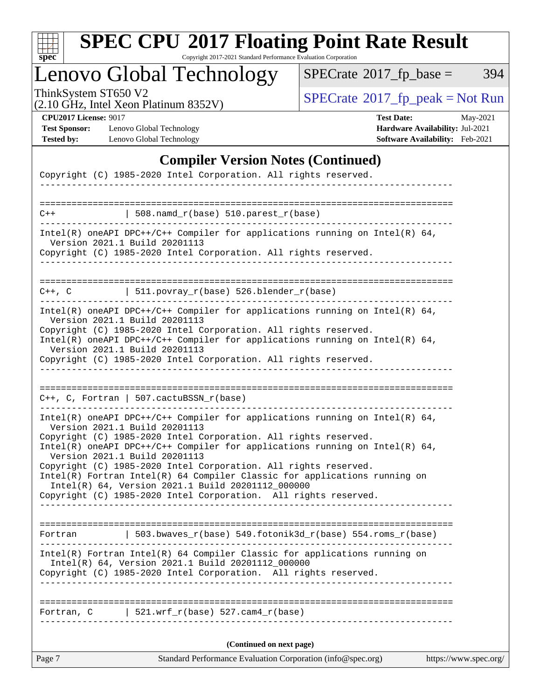

Copyright 2017-2021 Standard Performance Evaluation Corporation

## Lenovo Global Technology

 $SPECTate$ <sup>®</sup>[2017\\_fp\\_base =](http://www.spec.org/auto/cpu2017/Docs/result-fields.html#SPECrate2017fpbase) 394

(2.10 GHz, Intel Xeon Platinum 8352V)

ThinkSystem ST650 V2<br>
(2.10 GHz, Intel Xeon Platinum 8352V) [SPECrate](http://www.spec.org/auto/cpu2017/Docs/result-fields.html#SPECrate2017fppeak)®[2017\\_fp\\_peak = N](http://www.spec.org/auto/cpu2017/Docs/result-fields.html#SPECrate2017fppeak)ot Run

**[Test Sponsor:](http://www.spec.org/auto/cpu2017/Docs/result-fields.html#TestSponsor)** Lenovo Global Technology **[Hardware Availability:](http://www.spec.org/auto/cpu2017/Docs/result-fields.html#HardwareAvailability)** Jul-2021 **[Tested by:](http://www.spec.org/auto/cpu2017/Docs/result-fields.html#Testedby)** Lenovo Global Technology **[Software Availability:](http://www.spec.org/auto/cpu2017/Docs/result-fields.html#SoftwareAvailability)** Feb-2021

**[CPU2017 License:](http://www.spec.org/auto/cpu2017/Docs/result-fields.html#CPU2017License)** 9017 **[Test Date:](http://www.spec.org/auto/cpu2017/Docs/result-fields.html#TestDate)** May-2021

### **[Compiler Version Notes \(Continued\)](http://www.spec.org/auto/cpu2017/Docs/result-fields.html#CompilerVersionNotes)**

|             | Copyright (C) 1985-2020 Intel Corporation. All rights reserved.                                                                                                                                                                                                                                                                                                                                                                                                                                                                                                            |                       |
|-------------|----------------------------------------------------------------------------------------------------------------------------------------------------------------------------------------------------------------------------------------------------------------------------------------------------------------------------------------------------------------------------------------------------------------------------------------------------------------------------------------------------------------------------------------------------------------------------|-----------------------|
|             |                                                                                                                                                                                                                                                                                                                                                                                                                                                                                                                                                                            |                       |
| $C++$       | $\vert$ 508.namd_r(base) 510.parest_r(base)                                                                                                                                                                                                                                                                                                                                                                                                                                                                                                                                |                       |
|             | $Intel(R)$ oneAPI DPC++/C++ Compiler for applications running on Intel(R) 64,<br>Version 2021.1 Build 20201113<br>Copyright (C) 1985-2020 Intel Corporation. All rights reserved.                                                                                                                                                                                                                                                                                                                                                                                          |                       |
| $C++$ , $C$ | $\vert$ 511.povray_r(base) 526.blender_r(base)                                                                                                                                                                                                                                                                                                                                                                                                                                                                                                                             |                       |
|             | $Intel(R)$ oneAPI DPC++/C++ Compiler for applications running on Intel(R) 64,<br>Version 2021.1 Build 20201113<br>Copyright (C) 1985-2020 Intel Corporation. All rights reserved.<br>Intel(R) oneAPI DPC++/C++ Compiler for applications running on Intel(R) $64$ ,<br>Version 2021.1 Build 20201113<br>Copyright (C) 1985-2020 Intel Corporation. All rights reserved.                                                                                                                                                                                                    |                       |
|             | $C++$ , C, Fortran   507.cactuBSSN_r(base)                                                                                                                                                                                                                                                                                                                                                                                                                                                                                                                                 |                       |
|             | Intel(R) oneAPI DPC++/C++ Compiler for applications running on Intel(R) 64,<br>Version 2021.1 Build 20201113<br>Copyright (C) 1985-2020 Intel Corporation. All rights reserved.<br>Intel(R) oneAPI DPC++/C++ Compiler for applications running on Intel(R) $64$ ,<br>Version 2021.1 Build 20201113<br>Copyright (C) 1985-2020 Intel Corporation. All rights reserved.<br>Intel(R) Fortran Intel(R) 64 Compiler Classic for applications running on<br>Intel(R) 64, Version 2021.1 Build 20201112_000000<br>Copyright (C) 1985-2020 Intel Corporation. All rights reserved. |                       |
| Fortran     | 503.bwaves_r(base) 549.fotonik3d_r(base) 554.roms_r(base)                                                                                                                                                                                                                                                                                                                                                                                                                                                                                                                  |                       |
|             | Intel(R) Fortran Intel(R) 64 Compiler Classic for applications running on<br>Intel(R) 64, Version 2021.1 Build 20201112_000000<br>Copyright (C) 1985-2020 Intel Corporation. All rights reserved.<br>_______________________                                                                                                                                                                                                                                                                                                                                               |                       |
|             | Fortran, $C$   521.wrf_r(base) 527.cam4_r(base)                                                                                                                                                                                                                                                                                                                                                                                                                                                                                                                            |                       |
|             | (Continued on next page)                                                                                                                                                                                                                                                                                                                                                                                                                                                                                                                                                   |                       |
| Page 7      | Standard Performance Evaluation Corporation (info@spec.org)                                                                                                                                                                                                                                                                                                                                                                                                                                                                                                                | https://www.spec.org/ |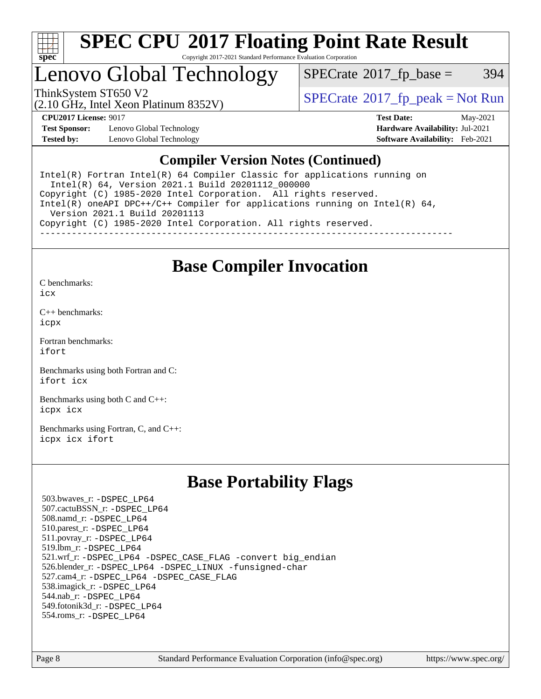

## Lenovo Global Technology

 $SPECTate@2017_fp\_base = 394$ 

(2.10 GHz, Intel Xeon Platinum 8352V)

ThinkSystem ST650 V2<br>  $\begin{array}{c}\n\text{SPECrate} \textcirc 2017\_fp\_peak = Not Run \\
\text{SPECrate} \textcirc 2017\_fp\_peak = Not Run\n\end{array}$  $\begin{array}{c}\n\text{SPECrate} \textcirc 2017\_fp\_peak = Not Run \\
\text{SPECrate} \textcirc 2017\_fp\_peak = Not Run\n\end{array}$  $\begin{array}{c}\n\text{SPECrate} \textcirc 2017\_fp\_peak = Not Run \\
\text{SPECrate} \textcirc 2017\_fp\_peak = Not Run\n\end{array}$ 

**[Test Sponsor:](http://www.spec.org/auto/cpu2017/Docs/result-fields.html#TestSponsor)** Lenovo Global Technology **[Hardware Availability:](http://www.spec.org/auto/cpu2017/Docs/result-fields.html#HardwareAvailability)** Jul-2021 **[Tested by:](http://www.spec.org/auto/cpu2017/Docs/result-fields.html#Testedby)** Lenovo Global Technology **[Software Availability:](http://www.spec.org/auto/cpu2017/Docs/result-fields.html#SoftwareAvailability)** Feb-2021

**[CPU2017 License:](http://www.spec.org/auto/cpu2017/Docs/result-fields.html#CPU2017License)** 9017 **[Test Date:](http://www.spec.org/auto/cpu2017/Docs/result-fields.html#TestDate)** May-2021

### **[Compiler Version Notes \(Continued\)](http://www.spec.org/auto/cpu2017/Docs/result-fields.html#CompilerVersionNotes)**

Intel(R) Fortran Intel(R) 64 Compiler Classic for applications running on Intel(R) 64, Version 2021.1 Build 20201112\_000000 Copyright (C) 1985-2020 Intel Corporation. All rights reserved. Intel(R) oneAPI DPC++/C++ Compiler for applications running on Intel(R)  $64$ , Version 2021.1 Build 20201113 Copyright (C) 1985-2020 Intel Corporation. All rights reserved. ------------------------------------------------------------------------------

### **[Base Compiler Invocation](http://www.spec.org/auto/cpu2017/Docs/result-fields.html#BaseCompilerInvocation)**

[C benchmarks](http://www.spec.org/auto/cpu2017/Docs/result-fields.html#Cbenchmarks):

[icx](http://www.spec.org/cpu2017/results/res2021q2/cpu2017-20210524-26716.flags.html#user_CCbase_intel_icx_fe2d28d19ae2a5db7c42fe0f2a2aed77cb715edd4aeb23434404a8be6683fe239869bb6ca8154ca98265c2e3b9226a719a0efe2953a4a7018c379b7010ccf087)

[C++ benchmarks:](http://www.spec.org/auto/cpu2017/Docs/result-fields.html#CXXbenchmarks) [icpx](http://www.spec.org/cpu2017/results/res2021q2/cpu2017-20210524-26716.flags.html#user_CXXbase_intel_icpx_1e918ed14c436bf4b9b7c8bcdd51d4539fc71b3df010bd1e9f8732d9c34c2b2914e48204a846820f3c0ebb4095dea797a5c30b458ac0b6dffac65d78f781f5ca)

[Fortran benchmarks](http://www.spec.org/auto/cpu2017/Docs/result-fields.html#Fortranbenchmarks): [ifort](http://www.spec.org/cpu2017/results/res2021q2/cpu2017-20210524-26716.flags.html#user_FCbase_intel_ifort_8111460550e3ca792625aed983ce982f94888b8b503583aa7ba2b8303487b4d8a21a13e7191a45c5fd58ff318f48f9492884d4413fa793fd88dd292cad7027ca)

[Benchmarks using both Fortran and C](http://www.spec.org/auto/cpu2017/Docs/result-fields.html#BenchmarksusingbothFortranandC): [ifort](http://www.spec.org/cpu2017/results/res2021q2/cpu2017-20210524-26716.flags.html#user_CC_FCbase_intel_ifort_8111460550e3ca792625aed983ce982f94888b8b503583aa7ba2b8303487b4d8a21a13e7191a45c5fd58ff318f48f9492884d4413fa793fd88dd292cad7027ca) [icx](http://www.spec.org/cpu2017/results/res2021q2/cpu2017-20210524-26716.flags.html#user_CC_FCbase_intel_icx_fe2d28d19ae2a5db7c42fe0f2a2aed77cb715edd4aeb23434404a8be6683fe239869bb6ca8154ca98265c2e3b9226a719a0efe2953a4a7018c379b7010ccf087)

[Benchmarks using both C and C++](http://www.spec.org/auto/cpu2017/Docs/result-fields.html#BenchmarksusingbothCandCXX): [icpx](http://www.spec.org/cpu2017/results/res2021q2/cpu2017-20210524-26716.flags.html#user_CC_CXXbase_intel_icpx_1e918ed14c436bf4b9b7c8bcdd51d4539fc71b3df010bd1e9f8732d9c34c2b2914e48204a846820f3c0ebb4095dea797a5c30b458ac0b6dffac65d78f781f5ca) [icx](http://www.spec.org/cpu2017/results/res2021q2/cpu2017-20210524-26716.flags.html#user_CC_CXXbase_intel_icx_fe2d28d19ae2a5db7c42fe0f2a2aed77cb715edd4aeb23434404a8be6683fe239869bb6ca8154ca98265c2e3b9226a719a0efe2953a4a7018c379b7010ccf087)

[Benchmarks using Fortran, C, and C++:](http://www.spec.org/auto/cpu2017/Docs/result-fields.html#BenchmarksusingFortranCandCXX) [icpx](http://www.spec.org/cpu2017/results/res2021q2/cpu2017-20210524-26716.flags.html#user_CC_CXX_FCbase_intel_icpx_1e918ed14c436bf4b9b7c8bcdd51d4539fc71b3df010bd1e9f8732d9c34c2b2914e48204a846820f3c0ebb4095dea797a5c30b458ac0b6dffac65d78f781f5ca) [icx](http://www.spec.org/cpu2017/results/res2021q2/cpu2017-20210524-26716.flags.html#user_CC_CXX_FCbase_intel_icx_fe2d28d19ae2a5db7c42fe0f2a2aed77cb715edd4aeb23434404a8be6683fe239869bb6ca8154ca98265c2e3b9226a719a0efe2953a4a7018c379b7010ccf087) [ifort](http://www.spec.org/cpu2017/results/res2021q2/cpu2017-20210524-26716.flags.html#user_CC_CXX_FCbase_intel_ifort_8111460550e3ca792625aed983ce982f94888b8b503583aa7ba2b8303487b4d8a21a13e7191a45c5fd58ff318f48f9492884d4413fa793fd88dd292cad7027ca)

### **[Base Portability Flags](http://www.spec.org/auto/cpu2017/Docs/result-fields.html#BasePortabilityFlags)**

 503.bwaves\_r: [-DSPEC\\_LP64](http://www.spec.org/cpu2017/results/res2021q2/cpu2017-20210524-26716.flags.html#suite_basePORTABILITY503_bwaves_r_DSPEC_LP64) 507.cactuBSSN\_r: [-DSPEC\\_LP64](http://www.spec.org/cpu2017/results/res2021q2/cpu2017-20210524-26716.flags.html#suite_basePORTABILITY507_cactuBSSN_r_DSPEC_LP64) 508.namd\_r: [-DSPEC\\_LP64](http://www.spec.org/cpu2017/results/res2021q2/cpu2017-20210524-26716.flags.html#suite_basePORTABILITY508_namd_r_DSPEC_LP64) 510.parest\_r: [-DSPEC\\_LP64](http://www.spec.org/cpu2017/results/res2021q2/cpu2017-20210524-26716.flags.html#suite_basePORTABILITY510_parest_r_DSPEC_LP64) 511.povray\_r: [-DSPEC\\_LP64](http://www.spec.org/cpu2017/results/res2021q2/cpu2017-20210524-26716.flags.html#suite_basePORTABILITY511_povray_r_DSPEC_LP64) 519.lbm\_r: [-DSPEC\\_LP64](http://www.spec.org/cpu2017/results/res2021q2/cpu2017-20210524-26716.flags.html#suite_basePORTABILITY519_lbm_r_DSPEC_LP64) 521.wrf\_r: [-DSPEC\\_LP64](http://www.spec.org/cpu2017/results/res2021q2/cpu2017-20210524-26716.flags.html#suite_basePORTABILITY521_wrf_r_DSPEC_LP64) [-DSPEC\\_CASE\\_FLAG](http://www.spec.org/cpu2017/results/res2021q2/cpu2017-20210524-26716.flags.html#b521.wrf_r_baseCPORTABILITY_DSPEC_CASE_FLAG) [-convert big\\_endian](http://www.spec.org/cpu2017/results/res2021q2/cpu2017-20210524-26716.flags.html#user_baseFPORTABILITY521_wrf_r_convert_big_endian_c3194028bc08c63ac5d04de18c48ce6d347e4e562e8892b8bdbdc0214820426deb8554edfa529a3fb25a586e65a3d812c835984020483e7e73212c4d31a38223) 526.blender\_r: [-DSPEC\\_LP64](http://www.spec.org/cpu2017/results/res2021q2/cpu2017-20210524-26716.flags.html#suite_basePORTABILITY526_blender_r_DSPEC_LP64) [-DSPEC\\_LINUX](http://www.spec.org/cpu2017/results/res2021q2/cpu2017-20210524-26716.flags.html#b526.blender_r_baseCPORTABILITY_DSPEC_LINUX) [-funsigned-char](http://www.spec.org/cpu2017/results/res2021q2/cpu2017-20210524-26716.flags.html#user_baseCPORTABILITY526_blender_r_force_uchar_40c60f00ab013830e2dd6774aeded3ff59883ba5a1fc5fc14077f794d777847726e2a5858cbc7672e36e1b067e7e5c1d9a74f7176df07886a243d7cc18edfe67) 527.cam4\_r: [-DSPEC\\_LP64](http://www.spec.org/cpu2017/results/res2021q2/cpu2017-20210524-26716.flags.html#suite_basePORTABILITY527_cam4_r_DSPEC_LP64) [-DSPEC\\_CASE\\_FLAG](http://www.spec.org/cpu2017/results/res2021q2/cpu2017-20210524-26716.flags.html#b527.cam4_r_baseCPORTABILITY_DSPEC_CASE_FLAG) 538.imagick\_r: [-DSPEC\\_LP64](http://www.spec.org/cpu2017/results/res2021q2/cpu2017-20210524-26716.flags.html#suite_basePORTABILITY538_imagick_r_DSPEC_LP64) 544.nab\_r: [-DSPEC\\_LP64](http://www.spec.org/cpu2017/results/res2021q2/cpu2017-20210524-26716.flags.html#suite_basePORTABILITY544_nab_r_DSPEC_LP64) 549.fotonik3d\_r: [-DSPEC\\_LP64](http://www.spec.org/cpu2017/results/res2021q2/cpu2017-20210524-26716.flags.html#suite_basePORTABILITY549_fotonik3d_r_DSPEC_LP64) 554.roms\_r: [-DSPEC\\_LP64](http://www.spec.org/cpu2017/results/res2021q2/cpu2017-20210524-26716.flags.html#suite_basePORTABILITY554_roms_r_DSPEC_LP64)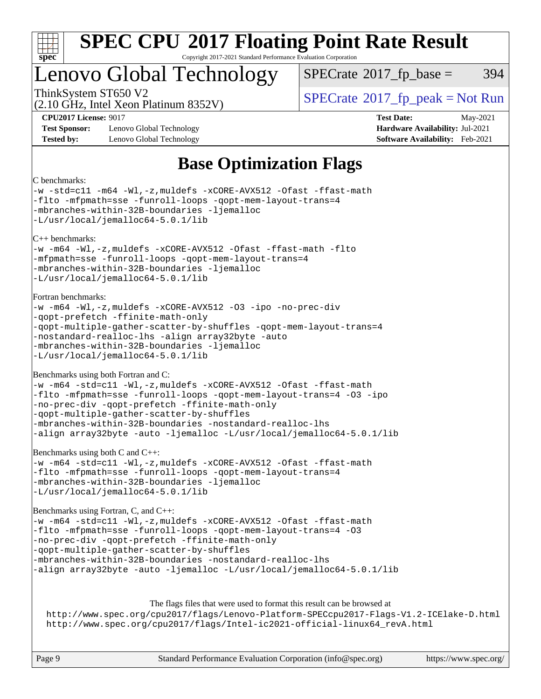

Copyright 2017-2021 Standard Performance Evaluation Corporation

## Lenovo Global Technology

 $SPECTate@2017<sub>fp</sub> base =  $394$$ 

(2.10 GHz, Intel Xeon Platinum 8352V)

ThinkSystem ST650 V2<br>  $\begin{array}{c} \text{SPECrate} \textcirc 2017 \text{ fp\_peak} = \text{Not Run} \end{array}$  $\begin{array}{c} \text{SPECrate} \textcirc 2017 \text{ fp\_peak} = \text{Not Run} \end{array}$  $\begin{array}{c} \text{SPECrate} \textcirc 2017 \text{ fp\_peak} = \text{Not Run} \end{array}$ 

**[Test Sponsor:](http://www.spec.org/auto/cpu2017/Docs/result-fields.html#TestSponsor)** Lenovo Global Technology **[Hardware Availability:](http://www.spec.org/auto/cpu2017/Docs/result-fields.html#HardwareAvailability)** Jul-2021 **[Tested by:](http://www.spec.org/auto/cpu2017/Docs/result-fields.html#Testedby)** Lenovo Global Technology **[Software Availability:](http://www.spec.org/auto/cpu2017/Docs/result-fields.html#SoftwareAvailability)** Feb-2021

**[CPU2017 License:](http://www.spec.org/auto/cpu2017/Docs/result-fields.html#CPU2017License)** 9017 **[Test Date:](http://www.spec.org/auto/cpu2017/Docs/result-fields.html#TestDate)** May-2021

### **[Base Optimization Flags](http://www.spec.org/auto/cpu2017/Docs/result-fields.html#BaseOptimizationFlags)**

### [C benchmarks:](http://www.spec.org/auto/cpu2017/Docs/result-fields.html#Cbenchmarks)

[-w](http://www.spec.org/cpu2017/results/res2021q2/cpu2017-20210524-26716.flags.html#user_CCbase_supress_warning_66fb2c4e5c1dd10f38bdd29623979399e5ae75ae6e5453792d82ef66afed381df4a8602f92cac8d2ea0fffa7b93b4b1ccb9ecad4af01c9b2fe338b2082ae3859) [-std=c11](http://www.spec.org/cpu2017/results/res2021q2/cpu2017-20210524-26716.flags.html#user_CCbase_std-icc-std_0e1c27790398a4642dfca32ffe6c27b5796f9c2d2676156f2e42c9c44eaad0c049b1cdb667a270c34d979996257aeb8fc440bfb01818dbc9357bd9d174cb8524) [-m64](http://www.spec.org/cpu2017/results/res2021q2/cpu2017-20210524-26716.flags.html#user_CCbase_m64-icc) [-Wl,-z,muldefs](http://www.spec.org/cpu2017/results/res2021q2/cpu2017-20210524-26716.flags.html#user_CCbase_link_force_multiple1_b4cbdb97b34bdee9ceefcfe54f4c8ea74255f0b02a4b23e853cdb0e18eb4525ac79b5a88067c842dd0ee6996c24547a27a4b99331201badda8798ef8a743f577) [-xCORE-AVX512](http://www.spec.org/cpu2017/results/res2021q2/cpu2017-20210524-26716.flags.html#user_CCbase_f-xCORE-AVX512) [-Ofast](http://www.spec.org/cpu2017/results/res2021q2/cpu2017-20210524-26716.flags.html#user_CCbase_f-Ofast) [-ffast-math](http://www.spec.org/cpu2017/results/res2021q2/cpu2017-20210524-26716.flags.html#user_CCbase_f-ffast-math) [-flto](http://www.spec.org/cpu2017/results/res2021q2/cpu2017-20210524-26716.flags.html#user_CCbase_f-flto) [-mfpmath=sse](http://www.spec.org/cpu2017/results/res2021q2/cpu2017-20210524-26716.flags.html#user_CCbase_f-mfpmath_70eb8fac26bde974f8ab713bc9086c5621c0b8d2f6c86f38af0bd7062540daf19db5f3a066d8c6684be05d84c9b6322eb3b5be6619d967835195b93d6c02afa1) [-funroll-loops](http://www.spec.org/cpu2017/results/res2021q2/cpu2017-20210524-26716.flags.html#user_CCbase_f-funroll-loops) [-qopt-mem-layout-trans=4](http://www.spec.org/cpu2017/results/res2021q2/cpu2017-20210524-26716.flags.html#user_CCbase_f-qopt-mem-layout-trans_fa39e755916c150a61361b7846f310bcdf6f04e385ef281cadf3647acec3f0ae266d1a1d22d972a7087a248fd4e6ca390a3634700869573d231a252c784941a8) [-mbranches-within-32B-boundaries](http://www.spec.org/cpu2017/results/res2021q2/cpu2017-20210524-26716.flags.html#user_CCbase_f-mbranches-within-32B-boundaries) [-ljemalloc](http://www.spec.org/cpu2017/results/res2021q2/cpu2017-20210524-26716.flags.html#user_CCbase_jemalloc_link_lib_d1249b907c500fa1c0672f44f562e3d0f79738ae9e3c4a9c376d49f265a04b9c99b167ecedbf6711b3085be911c67ff61f150a17b3472be731631ba4d0471706) [-L/usr/local/jemalloc64-5.0.1/lib](http://www.spec.org/cpu2017/results/res2021q2/cpu2017-20210524-26716.flags.html#user_CCbase_jemalloc_link_path64_1_cc289568b1a6c0fd3b62c91b824c27fcb5af5e8098e6ad028160d21144ef1b8aef3170d2acf0bee98a8da324cfe4f67d0a3d0c4cc4673d993d694dc2a0df248b) [C++ benchmarks:](http://www.spec.org/auto/cpu2017/Docs/result-fields.html#CXXbenchmarks) [-w](http://www.spec.org/cpu2017/results/res2021q2/cpu2017-20210524-26716.flags.html#user_CXXbase_supress_warning_66fb2c4e5c1dd10f38bdd29623979399e5ae75ae6e5453792d82ef66afed381df4a8602f92cac8d2ea0fffa7b93b4b1ccb9ecad4af01c9b2fe338b2082ae3859) [-m64](http://www.spec.org/cpu2017/results/res2021q2/cpu2017-20210524-26716.flags.html#user_CXXbase_m64-icc) [-Wl,-z,muldefs](http://www.spec.org/cpu2017/results/res2021q2/cpu2017-20210524-26716.flags.html#user_CXXbase_link_force_multiple1_b4cbdb97b34bdee9ceefcfe54f4c8ea74255f0b02a4b23e853cdb0e18eb4525ac79b5a88067c842dd0ee6996c24547a27a4b99331201badda8798ef8a743f577) [-xCORE-AVX512](http://www.spec.org/cpu2017/results/res2021q2/cpu2017-20210524-26716.flags.html#user_CXXbase_f-xCORE-AVX512) [-Ofast](http://www.spec.org/cpu2017/results/res2021q2/cpu2017-20210524-26716.flags.html#user_CXXbase_f-Ofast) [-ffast-math](http://www.spec.org/cpu2017/results/res2021q2/cpu2017-20210524-26716.flags.html#user_CXXbase_f-ffast-math) [-flto](http://www.spec.org/cpu2017/results/res2021q2/cpu2017-20210524-26716.flags.html#user_CXXbase_f-flto) [-mfpmath=sse](http://www.spec.org/cpu2017/results/res2021q2/cpu2017-20210524-26716.flags.html#user_CXXbase_f-mfpmath_70eb8fac26bde974f8ab713bc9086c5621c0b8d2f6c86f38af0bd7062540daf19db5f3a066d8c6684be05d84c9b6322eb3b5be6619d967835195b93d6c02afa1) [-funroll-loops](http://www.spec.org/cpu2017/results/res2021q2/cpu2017-20210524-26716.flags.html#user_CXXbase_f-funroll-loops) [-qopt-mem-layout-trans=4](http://www.spec.org/cpu2017/results/res2021q2/cpu2017-20210524-26716.flags.html#user_CXXbase_f-qopt-mem-layout-trans_fa39e755916c150a61361b7846f310bcdf6f04e385ef281cadf3647acec3f0ae266d1a1d22d972a7087a248fd4e6ca390a3634700869573d231a252c784941a8) [-mbranches-within-32B-boundaries](http://www.spec.org/cpu2017/results/res2021q2/cpu2017-20210524-26716.flags.html#user_CXXbase_f-mbranches-within-32B-boundaries) [-ljemalloc](http://www.spec.org/cpu2017/results/res2021q2/cpu2017-20210524-26716.flags.html#user_CXXbase_jemalloc_link_lib_d1249b907c500fa1c0672f44f562e3d0f79738ae9e3c4a9c376d49f265a04b9c99b167ecedbf6711b3085be911c67ff61f150a17b3472be731631ba4d0471706) [-L/usr/local/jemalloc64-5.0.1/lib](http://www.spec.org/cpu2017/results/res2021q2/cpu2017-20210524-26716.flags.html#user_CXXbase_jemalloc_link_path64_1_cc289568b1a6c0fd3b62c91b824c27fcb5af5e8098e6ad028160d21144ef1b8aef3170d2acf0bee98a8da324cfe4f67d0a3d0c4cc4673d993d694dc2a0df248b) [Fortran benchmarks](http://www.spec.org/auto/cpu2017/Docs/result-fields.html#Fortranbenchmarks): [-w](http://www.spec.org/cpu2017/results/res2021q2/cpu2017-20210524-26716.flags.html#user_FCbase_supress_warning_66fb2c4e5c1dd10f38bdd29623979399e5ae75ae6e5453792d82ef66afed381df4a8602f92cac8d2ea0fffa7b93b4b1ccb9ecad4af01c9b2fe338b2082ae3859) [-m64](http://www.spec.org/cpu2017/results/res2021q2/cpu2017-20210524-26716.flags.html#user_FCbase_m64-icc) [-Wl,-z,muldefs](http://www.spec.org/cpu2017/results/res2021q2/cpu2017-20210524-26716.flags.html#user_FCbase_link_force_multiple1_b4cbdb97b34bdee9ceefcfe54f4c8ea74255f0b02a4b23e853cdb0e18eb4525ac79b5a88067c842dd0ee6996c24547a27a4b99331201badda8798ef8a743f577) [-xCORE-AVX512](http://www.spec.org/cpu2017/results/res2021q2/cpu2017-20210524-26716.flags.html#user_FCbase_f-xCORE-AVX512) [-O3](http://www.spec.org/cpu2017/results/res2021q2/cpu2017-20210524-26716.flags.html#user_FCbase_f-O3) [-ipo](http://www.spec.org/cpu2017/results/res2021q2/cpu2017-20210524-26716.flags.html#user_FCbase_f-ipo) [-no-prec-div](http://www.spec.org/cpu2017/results/res2021q2/cpu2017-20210524-26716.flags.html#user_FCbase_f-no-prec-div) [-qopt-prefetch](http://www.spec.org/cpu2017/results/res2021q2/cpu2017-20210524-26716.flags.html#user_FCbase_f-qopt-prefetch) [-ffinite-math-only](http://www.spec.org/cpu2017/results/res2021q2/cpu2017-20210524-26716.flags.html#user_FCbase_f_finite_math_only_cb91587bd2077682c4b38af759c288ed7c732db004271a9512da14a4f8007909a5f1427ecbf1a0fb78ff2a814402c6114ac565ca162485bbcae155b5e4258871) [-qopt-multiple-gather-scatter-by-shuffles](http://www.spec.org/cpu2017/results/res2021q2/cpu2017-20210524-26716.flags.html#user_FCbase_f-qopt-multiple-gather-scatter-by-shuffles) [-qopt-mem-layout-trans=4](http://www.spec.org/cpu2017/results/res2021q2/cpu2017-20210524-26716.flags.html#user_FCbase_f-qopt-mem-layout-trans_fa39e755916c150a61361b7846f310bcdf6f04e385ef281cadf3647acec3f0ae266d1a1d22d972a7087a248fd4e6ca390a3634700869573d231a252c784941a8) [-nostandard-realloc-lhs](http://www.spec.org/cpu2017/results/res2021q2/cpu2017-20210524-26716.flags.html#user_FCbase_f_2003_std_realloc_82b4557e90729c0f113870c07e44d33d6f5a304b4f63d4c15d2d0f1fab99f5daaed73bdb9275d9ae411527f28b936061aa8b9c8f2d63842963b95c9dd6426b8a) [-align array32byte](http://www.spec.org/cpu2017/results/res2021q2/cpu2017-20210524-26716.flags.html#user_FCbase_align_array32byte_b982fe038af199962ba9a80c053b8342c548c85b40b8e86eb3cc33dee0d7986a4af373ac2d51c3f7cf710a18d62fdce2948f201cd044323541f22fc0fffc51b6) [-auto](http://www.spec.org/cpu2017/results/res2021q2/cpu2017-20210524-26716.flags.html#user_FCbase_f-auto) [-mbranches-within-32B-boundaries](http://www.spec.org/cpu2017/results/res2021q2/cpu2017-20210524-26716.flags.html#user_FCbase_f-mbranches-within-32B-boundaries) [-ljemalloc](http://www.spec.org/cpu2017/results/res2021q2/cpu2017-20210524-26716.flags.html#user_FCbase_jemalloc_link_lib_d1249b907c500fa1c0672f44f562e3d0f79738ae9e3c4a9c376d49f265a04b9c99b167ecedbf6711b3085be911c67ff61f150a17b3472be731631ba4d0471706) [-L/usr/local/jemalloc64-5.0.1/lib](http://www.spec.org/cpu2017/results/res2021q2/cpu2017-20210524-26716.flags.html#user_FCbase_jemalloc_link_path64_1_cc289568b1a6c0fd3b62c91b824c27fcb5af5e8098e6ad028160d21144ef1b8aef3170d2acf0bee98a8da324cfe4f67d0a3d0c4cc4673d993d694dc2a0df248b) [Benchmarks using both Fortran and C:](http://www.spec.org/auto/cpu2017/Docs/result-fields.html#BenchmarksusingbothFortranandC) [-w](http://www.spec.org/cpu2017/results/res2021q2/cpu2017-20210524-26716.flags.html#user_CC_FCbase_supress_warning_66fb2c4e5c1dd10f38bdd29623979399e5ae75ae6e5453792d82ef66afed381df4a8602f92cac8d2ea0fffa7b93b4b1ccb9ecad4af01c9b2fe338b2082ae3859) [-m64](http://www.spec.org/cpu2017/results/res2021q2/cpu2017-20210524-26716.flags.html#user_CC_FCbase_m64-icc) [-std=c11](http://www.spec.org/cpu2017/results/res2021q2/cpu2017-20210524-26716.flags.html#user_CC_FCbase_std-icc-std_0e1c27790398a4642dfca32ffe6c27b5796f9c2d2676156f2e42c9c44eaad0c049b1cdb667a270c34d979996257aeb8fc440bfb01818dbc9357bd9d174cb8524) [-Wl,-z,muldefs](http://www.spec.org/cpu2017/results/res2021q2/cpu2017-20210524-26716.flags.html#user_CC_FCbase_link_force_multiple1_b4cbdb97b34bdee9ceefcfe54f4c8ea74255f0b02a4b23e853cdb0e18eb4525ac79b5a88067c842dd0ee6996c24547a27a4b99331201badda8798ef8a743f577) [-xCORE-AVX512](http://www.spec.org/cpu2017/results/res2021q2/cpu2017-20210524-26716.flags.html#user_CC_FCbase_f-xCORE-AVX512) [-Ofast](http://www.spec.org/cpu2017/results/res2021q2/cpu2017-20210524-26716.flags.html#user_CC_FCbase_f-Ofast) [-ffast-math](http://www.spec.org/cpu2017/results/res2021q2/cpu2017-20210524-26716.flags.html#user_CC_FCbase_f-ffast-math) [-flto](http://www.spec.org/cpu2017/results/res2021q2/cpu2017-20210524-26716.flags.html#user_CC_FCbase_f-flto) [-mfpmath=sse](http://www.spec.org/cpu2017/results/res2021q2/cpu2017-20210524-26716.flags.html#user_CC_FCbase_f-mfpmath_70eb8fac26bde974f8ab713bc9086c5621c0b8d2f6c86f38af0bd7062540daf19db5f3a066d8c6684be05d84c9b6322eb3b5be6619d967835195b93d6c02afa1) [-funroll-loops](http://www.spec.org/cpu2017/results/res2021q2/cpu2017-20210524-26716.flags.html#user_CC_FCbase_f-funroll-loops) [-qopt-mem-layout-trans=4](http://www.spec.org/cpu2017/results/res2021q2/cpu2017-20210524-26716.flags.html#user_CC_FCbase_f-qopt-mem-layout-trans_fa39e755916c150a61361b7846f310bcdf6f04e385ef281cadf3647acec3f0ae266d1a1d22d972a7087a248fd4e6ca390a3634700869573d231a252c784941a8) [-O3](http://www.spec.org/cpu2017/results/res2021q2/cpu2017-20210524-26716.flags.html#user_CC_FCbase_f-O3) [-ipo](http://www.spec.org/cpu2017/results/res2021q2/cpu2017-20210524-26716.flags.html#user_CC_FCbase_f-ipo) [-no-prec-div](http://www.spec.org/cpu2017/results/res2021q2/cpu2017-20210524-26716.flags.html#user_CC_FCbase_f-no-prec-div) [-qopt-prefetch](http://www.spec.org/cpu2017/results/res2021q2/cpu2017-20210524-26716.flags.html#user_CC_FCbase_f-qopt-prefetch) [-ffinite-math-only](http://www.spec.org/cpu2017/results/res2021q2/cpu2017-20210524-26716.flags.html#user_CC_FCbase_f_finite_math_only_cb91587bd2077682c4b38af759c288ed7c732db004271a9512da14a4f8007909a5f1427ecbf1a0fb78ff2a814402c6114ac565ca162485bbcae155b5e4258871) [-qopt-multiple-gather-scatter-by-shuffles](http://www.spec.org/cpu2017/results/res2021q2/cpu2017-20210524-26716.flags.html#user_CC_FCbase_f-qopt-multiple-gather-scatter-by-shuffles) [-mbranches-within-32B-boundaries](http://www.spec.org/cpu2017/results/res2021q2/cpu2017-20210524-26716.flags.html#user_CC_FCbase_f-mbranches-within-32B-boundaries) [-nostandard-realloc-lhs](http://www.spec.org/cpu2017/results/res2021q2/cpu2017-20210524-26716.flags.html#user_CC_FCbase_f_2003_std_realloc_82b4557e90729c0f113870c07e44d33d6f5a304b4f63d4c15d2d0f1fab99f5daaed73bdb9275d9ae411527f28b936061aa8b9c8f2d63842963b95c9dd6426b8a) [-align array32byte](http://www.spec.org/cpu2017/results/res2021q2/cpu2017-20210524-26716.flags.html#user_CC_FCbase_align_array32byte_b982fe038af199962ba9a80c053b8342c548c85b40b8e86eb3cc33dee0d7986a4af373ac2d51c3f7cf710a18d62fdce2948f201cd044323541f22fc0fffc51b6) [-auto](http://www.spec.org/cpu2017/results/res2021q2/cpu2017-20210524-26716.flags.html#user_CC_FCbase_f-auto) [-ljemalloc](http://www.spec.org/cpu2017/results/res2021q2/cpu2017-20210524-26716.flags.html#user_CC_FCbase_jemalloc_link_lib_d1249b907c500fa1c0672f44f562e3d0f79738ae9e3c4a9c376d49f265a04b9c99b167ecedbf6711b3085be911c67ff61f150a17b3472be731631ba4d0471706) [-L/usr/local/jemalloc64-5.0.1/lib](http://www.spec.org/cpu2017/results/res2021q2/cpu2017-20210524-26716.flags.html#user_CC_FCbase_jemalloc_link_path64_1_cc289568b1a6c0fd3b62c91b824c27fcb5af5e8098e6ad028160d21144ef1b8aef3170d2acf0bee98a8da324cfe4f67d0a3d0c4cc4673d993d694dc2a0df248b) [Benchmarks using both C and C++](http://www.spec.org/auto/cpu2017/Docs/result-fields.html#BenchmarksusingbothCandCXX): [-w](http://www.spec.org/cpu2017/results/res2021q2/cpu2017-20210524-26716.flags.html#user_CC_CXXbase_supress_warning_66fb2c4e5c1dd10f38bdd29623979399e5ae75ae6e5453792d82ef66afed381df4a8602f92cac8d2ea0fffa7b93b4b1ccb9ecad4af01c9b2fe338b2082ae3859) [-m64](http://www.spec.org/cpu2017/results/res2021q2/cpu2017-20210524-26716.flags.html#user_CC_CXXbase_m64-icc) [-std=c11](http://www.spec.org/cpu2017/results/res2021q2/cpu2017-20210524-26716.flags.html#user_CC_CXXbase_std-icc-std_0e1c27790398a4642dfca32ffe6c27b5796f9c2d2676156f2e42c9c44eaad0c049b1cdb667a270c34d979996257aeb8fc440bfb01818dbc9357bd9d174cb8524) [-Wl,-z,muldefs](http://www.spec.org/cpu2017/results/res2021q2/cpu2017-20210524-26716.flags.html#user_CC_CXXbase_link_force_multiple1_b4cbdb97b34bdee9ceefcfe54f4c8ea74255f0b02a4b23e853cdb0e18eb4525ac79b5a88067c842dd0ee6996c24547a27a4b99331201badda8798ef8a743f577) [-xCORE-AVX512](http://www.spec.org/cpu2017/results/res2021q2/cpu2017-20210524-26716.flags.html#user_CC_CXXbase_f-xCORE-AVX512) [-Ofast](http://www.spec.org/cpu2017/results/res2021q2/cpu2017-20210524-26716.flags.html#user_CC_CXXbase_f-Ofast) [-ffast-math](http://www.spec.org/cpu2017/results/res2021q2/cpu2017-20210524-26716.flags.html#user_CC_CXXbase_f-ffast-math) [-flto](http://www.spec.org/cpu2017/results/res2021q2/cpu2017-20210524-26716.flags.html#user_CC_CXXbase_f-flto) [-mfpmath=sse](http://www.spec.org/cpu2017/results/res2021q2/cpu2017-20210524-26716.flags.html#user_CC_CXXbase_f-mfpmath_70eb8fac26bde974f8ab713bc9086c5621c0b8d2f6c86f38af0bd7062540daf19db5f3a066d8c6684be05d84c9b6322eb3b5be6619d967835195b93d6c02afa1) [-funroll-loops](http://www.spec.org/cpu2017/results/res2021q2/cpu2017-20210524-26716.flags.html#user_CC_CXXbase_f-funroll-loops) [-qopt-mem-layout-trans=4](http://www.spec.org/cpu2017/results/res2021q2/cpu2017-20210524-26716.flags.html#user_CC_CXXbase_f-qopt-mem-layout-trans_fa39e755916c150a61361b7846f310bcdf6f04e385ef281cadf3647acec3f0ae266d1a1d22d972a7087a248fd4e6ca390a3634700869573d231a252c784941a8) [-mbranches-within-32B-boundaries](http://www.spec.org/cpu2017/results/res2021q2/cpu2017-20210524-26716.flags.html#user_CC_CXXbase_f-mbranches-within-32B-boundaries) [-ljemalloc](http://www.spec.org/cpu2017/results/res2021q2/cpu2017-20210524-26716.flags.html#user_CC_CXXbase_jemalloc_link_lib_d1249b907c500fa1c0672f44f562e3d0f79738ae9e3c4a9c376d49f265a04b9c99b167ecedbf6711b3085be911c67ff61f150a17b3472be731631ba4d0471706) [-L/usr/local/jemalloc64-5.0.1/lib](http://www.spec.org/cpu2017/results/res2021q2/cpu2017-20210524-26716.flags.html#user_CC_CXXbase_jemalloc_link_path64_1_cc289568b1a6c0fd3b62c91b824c27fcb5af5e8098e6ad028160d21144ef1b8aef3170d2acf0bee98a8da324cfe4f67d0a3d0c4cc4673d993d694dc2a0df248b) [Benchmarks using Fortran, C, and C++:](http://www.spec.org/auto/cpu2017/Docs/result-fields.html#BenchmarksusingFortranCandCXX) [-w](http://www.spec.org/cpu2017/results/res2021q2/cpu2017-20210524-26716.flags.html#user_CC_CXX_FCbase_supress_warning_66fb2c4e5c1dd10f38bdd29623979399e5ae75ae6e5453792d82ef66afed381df4a8602f92cac8d2ea0fffa7b93b4b1ccb9ecad4af01c9b2fe338b2082ae3859) [-m64](http://www.spec.org/cpu2017/results/res2021q2/cpu2017-20210524-26716.flags.html#user_CC_CXX_FCbase_m64-icc) [-std=c11](http://www.spec.org/cpu2017/results/res2021q2/cpu2017-20210524-26716.flags.html#user_CC_CXX_FCbase_std-icc-std_0e1c27790398a4642dfca32ffe6c27b5796f9c2d2676156f2e42c9c44eaad0c049b1cdb667a270c34d979996257aeb8fc440bfb01818dbc9357bd9d174cb8524) [-Wl,-z,muldefs](http://www.spec.org/cpu2017/results/res2021q2/cpu2017-20210524-26716.flags.html#user_CC_CXX_FCbase_link_force_multiple1_b4cbdb97b34bdee9ceefcfe54f4c8ea74255f0b02a4b23e853cdb0e18eb4525ac79b5a88067c842dd0ee6996c24547a27a4b99331201badda8798ef8a743f577) [-xCORE-AVX512](http://www.spec.org/cpu2017/results/res2021q2/cpu2017-20210524-26716.flags.html#user_CC_CXX_FCbase_f-xCORE-AVX512) [-Ofast](http://www.spec.org/cpu2017/results/res2021q2/cpu2017-20210524-26716.flags.html#user_CC_CXX_FCbase_f-Ofast) [-ffast-math](http://www.spec.org/cpu2017/results/res2021q2/cpu2017-20210524-26716.flags.html#user_CC_CXX_FCbase_f-ffast-math) [-flto](http://www.spec.org/cpu2017/results/res2021q2/cpu2017-20210524-26716.flags.html#user_CC_CXX_FCbase_f-flto) [-mfpmath=sse](http://www.spec.org/cpu2017/results/res2021q2/cpu2017-20210524-26716.flags.html#user_CC_CXX_FCbase_f-mfpmath_70eb8fac26bde974f8ab713bc9086c5621c0b8d2f6c86f38af0bd7062540daf19db5f3a066d8c6684be05d84c9b6322eb3b5be6619d967835195b93d6c02afa1) [-funroll-loops](http://www.spec.org/cpu2017/results/res2021q2/cpu2017-20210524-26716.flags.html#user_CC_CXX_FCbase_f-funroll-loops) [-qopt-mem-layout-trans=4](http://www.spec.org/cpu2017/results/res2021q2/cpu2017-20210524-26716.flags.html#user_CC_CXX_FCbase_f-qopt-mem-layout-trans_fa39e755916c150a61361b7846f310bcdf6f04e385ef281cadf3647acec3f0ae266d1a1d22d972a7087a248fd4e6ca390a3634700869573d231a252c784941a8) [-O3](http://www.spec.org/cpu2017/results/res2021q2/cpu2017-20210524-26716.flags.html#user_CC_CXX_FCbase_f-O3) [-no-prec-div](http://www.spec.org/cpu2017/results/res2021q2/cpu2017-20210524-26716.flags.html#user_CC_CXX_FCbase_f-no-prec-div) [-qopt-prefetch](http://www.spec.org/cpu2017/results/res2021q2/cpu2017-20210524-26716.flags.html#user_CC_CXX_FCbase_f-qopt-prefetch) [-ffinite-math-only](http://www.spec.org/cpu2017/results/res2021q2/cpu2017-20210524-26716.flags.html#user_CC_CXX_FCbase_f_finite_math_only_cb91587bd2077682c4b38af759c288ed7c732db004271a9512da14a4f8007909a5f1427ecbf1a0fb78ff2a814402c6114ac565ca162485bbcae155b5e4258871) [-qopt-multiple-gather-scatter-by-shuffles](http://www.spec.org/cpu2017/results/res2021q2/cpu2017-20210524-26716.flags.html#user_CC_CXX_FCbase_f-qopt-multiple-gather-scatter-by-shuffles) [-mbranches-within-32B-boundaries](http://www.spec.org/cpu2017/results/res2021q2/cpu2017-20210524-26716.flags.html#user_CC_CXX_FCbase_f-mbranches-within-32B-boundaries) [-nostandard-realloc-lhs](http://www.spec.org/cpu2017/results/res2021q2/cpu2017-20210524-26716.flags.html#user_CC_CXX_FCbase_f_2003_std_realloc_82b4557e90729c0f113870c07e44d33d6f5a304b4f63d4c15d2d0f1fab99f5daaed73bdb9275d9ae411527f28b936061aa8b9c8f2d63842963b95c9dd6426b8a) [-align array32byte](http://www.spec.org/cpu2017/results/res2021q2/cpu2017-20210524-26716.flags.html#user_CC_CXX_FCbase_align_array32byte_b982fe038af199962ba9a80c053b8342c548c85b40b8e86eb3cc33dee0d7986a4af373ac2d51c3f7cf710a18d62fdce2948f201cd044323541f22fc0fffc51b6) [-auto](http://www.spec.org/cpu2017/results/res2021q2/cpu2017-20210524-26716.flags.html#user_CC_CXX_FCbase_f-auto) [-ljemalloc](http://www.spec.org/cpu2017/results/res2021q2/cpu2017-20210524-26716.flags.html#user_CC_CXX_FCbase_jemalloc_link_lib_d1249b907c500fa1c0672f44f562e3d0f79738ae9e3c4a9c376d49f265a04b9c99b167ecedbf6711b3085be911c67ff61f150a17b3472be731631ba4d0471706) [-L/usr/local/jemalloc64-5.0.1/lib](http://www.spec.org/cpu2017/results/res2021q2/cpu2017-20210524-26716.flags.html#user_CC_CXX_FCbase_jemalloc_link_path64_1_cc289568b1a6c0fd3b62c91b824c27fcb5af5e8098e6ad028160d21144ef1b8aef3170d2acf0bee98a8da324cfe4f67d0a3d0c4cc4673d993d694dc2a0df248b) [The flags files that were used to format this result can be browsed at](tmsearch) <http://www.spec.org/cpu2017/flags/Lenovo-Platform-SPECcpu2017-Flags-V1.2-ICElake-D.html>

[http://www.spec.org/cpu2017/flags/Intel-ic2021-official-linux64\\_revA.html](http://www.spec.org/cpu2017/flags/Intel-ic2021-official-linux64_revA.html)